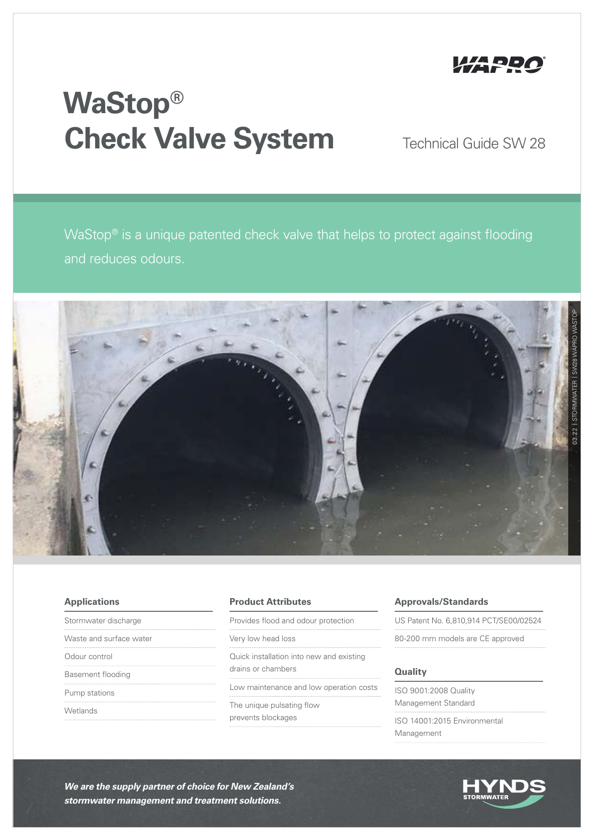

# **WaStop® Check Valve System**

Technical Guide SW 28

WaStop<sup>®</sup> is a unique patented check valve that helps to protect against flooding and reduces odours.



| <b>Applications</b>     | <b>Product Attributes</b>                | <b>Approvals/Standards</b>                                     |  |
|-------------------------|------------------------------------------|----------------------------------------------------------------|--|
| Stormwater discharge    | Provides flood and odour protection      | US Patent No. 6,810,914 PCT/SE00/02524                         |  |
| Waste and surface water | Very low head loss                       | 80-200 mm models are CE approved                               |  |
| Odour control           | Quick installation into new and existing |                                                                |  |
| Basement flooding       | drains or chambers                       | <b>Quality</b><br>ISO 9001:2008 Quality<br>Management Standard |  |
| Pump stations           | Low maintenance and low operation costs  |                                                                |  |
| Wetlands                | The unique pulsating flow                |                                                                |  |
|                         | prevents blockages                       | ISO 14001:2015 Environmental                                   |  |
|                         |                                          | Management                                                     |  |

*We are the supply partner of choice for New Zealand's stormwater management and treatment solutions.*

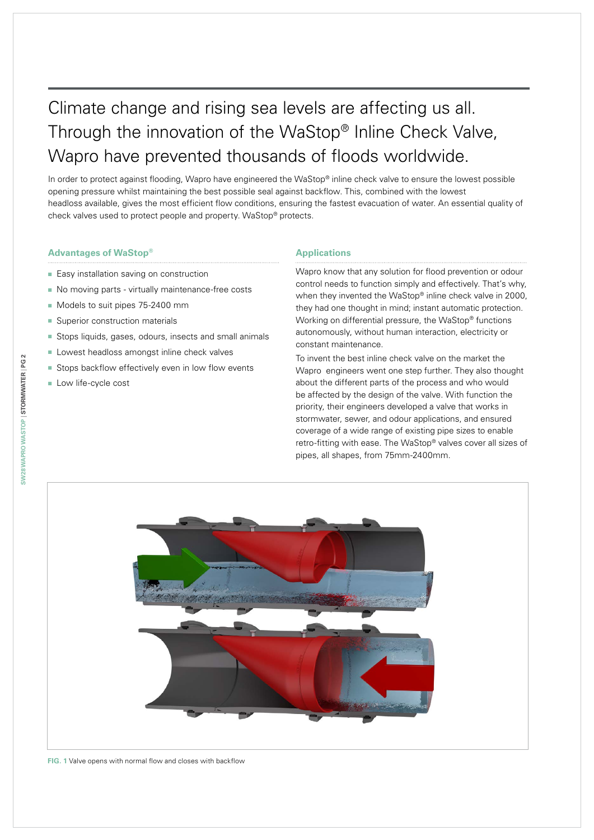# Climate change and rising sea levels are affecting us all. Through the innovation of the WaStop® Inline Check Valve, Wapro have prevented thousands of floods worldwide.

In order to protect against flooding, Wapro have engineered the WaStop® inline check valve to ensure the lowest possible opening pressure whilst maintaining the best possible seal against backflow. This, combined with the lowest headloss available, gives the most efficient flow conditions, ensuring the fastest evacuation of water. An essential quality of check valves used to protect people and property. WaStop® protects.

### **Advantages of WaStop®**

- Easy installation saving on construction
- No moving parts virtually maintenance-free costs
- Models to suit pipes 75-2400 mm
- Superior construction materials
- Stops liquids, gases, odours, insects and small animals
- Lowest headloss amongst inline check valves
- Stops backflow effectively even in low flow events
- Low life-cycle cost

### **Applications**

Wapro know that any solution for flood prevention or odour control needs to function simply and effectively. That's why, when they invented the WaStop® inline check valve in 2000, they had one thought in mind; instant automatic protection. Working on differential pressure, the WaStop® functions autonomously, without human interaction, electricity or constant maintenance.

To invent the best inline check valve on the market the Wapro engineers went one step further. They also thought about the different parts of the process and who would be affected by the design of the valve. With function the priority, their engineers developed a valve that works in stormwater, sewer, and odour applications, and ensured coverage of a wide range of existing pipe sizes to enable retro-fitting with ease. The WaStop® valves cover all sizes of pipes, all shapes, from 75mm-2400mm.



**Fig. 1** Valve opens with normal flow and closes with backflow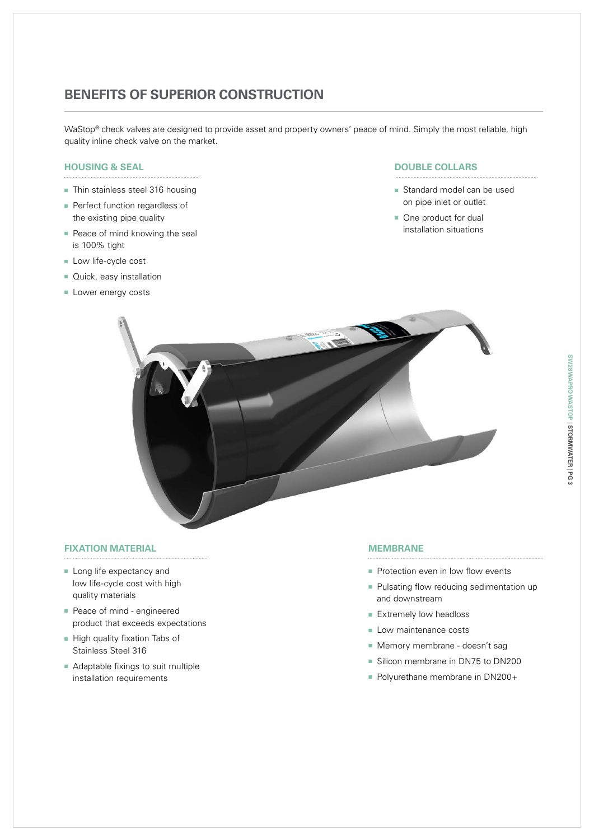## **BENEFITS OF SUPERIOR CONSTRUCTION**

WaStop® check valves are designed to provide asset and property owners' peace of mind. Simply the most reliable, high quality inline check valve on the market.

### **HOUSING & SEAL**

- Thin stainless steel 316 housing
- Perfect function regardless of the existing pipe quality
- Peace of mind knowing the seal is 100% tight
- Low life-cycle cost
- Quick, easy installation
- Lower energy costs

### **DOUBLE COLLARS**

- Standard model can be used on pipe inlet or outlet
- One product for dual installation situations



### **FIXATION MATERIAL**

- Long life expectancy and low life-cycle cost with high quality materials
- Peace of mind engineered product that exceeds expectations
- High quality fixation Tabs of Stainless Steel 316
- Adaptable fixings to suit multiple installation requirements

### **MEMBRANE**

- Protection even in low flow events
- Pulsating flow reducing sedimentation up and downstream
- Extremely low headloss
- Low maintenance costs
- Memory membrane doesn't sag
- Silicon membrane in DN75 to DN200
- Polyurethane membrane in DN200+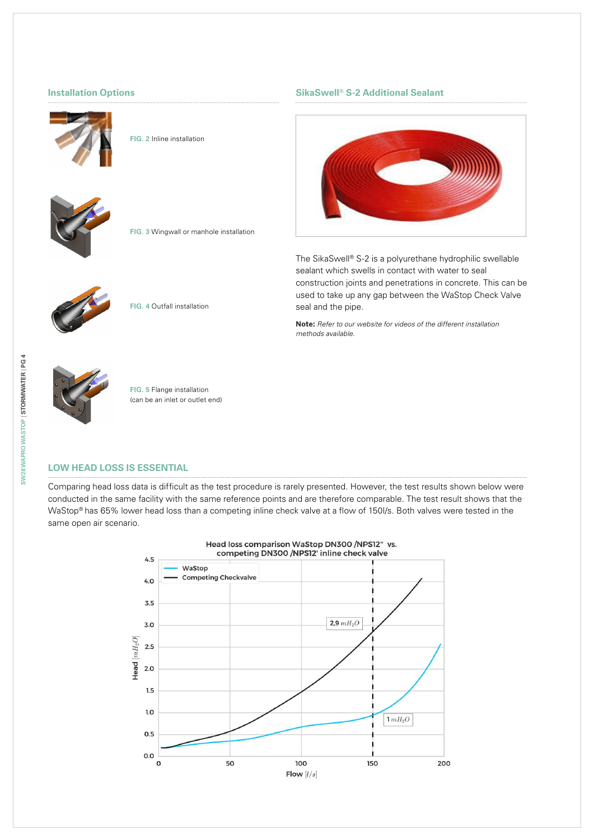

**Fig. 2** Inline installation



**Fig. 3** Wingwall or manhole installation



**Fig. 4** Outfall installation

### **Installation Options SikaSwell® S-2 Additional Sealant**



The SikaSwell® S-2 is a polyurethane hydrophilic swellable sealant which swells in contact with water to seal construction joints and penetrations in concrete. This can be used to take up any gap between the WaStop Check Valve seal and the pipe.

**Note:** *Refer to our website for videos of the different installation methods available.*



**Fig. 5** Flange installation (can be an inlet or outlet end)

### **LOW HEAD LOSS IS ESSENTIAL**

Comparing head loss data is difficult as the test procedure is rarely presented. However, the test results shown below were conducted in the same facility with the same reference points and are therefore comparable. The test result shows that the WaStop® has 65% lower head loss than a competing inline check valve at a flow of 150l/s. Both valves were tested in the same open air scenario.

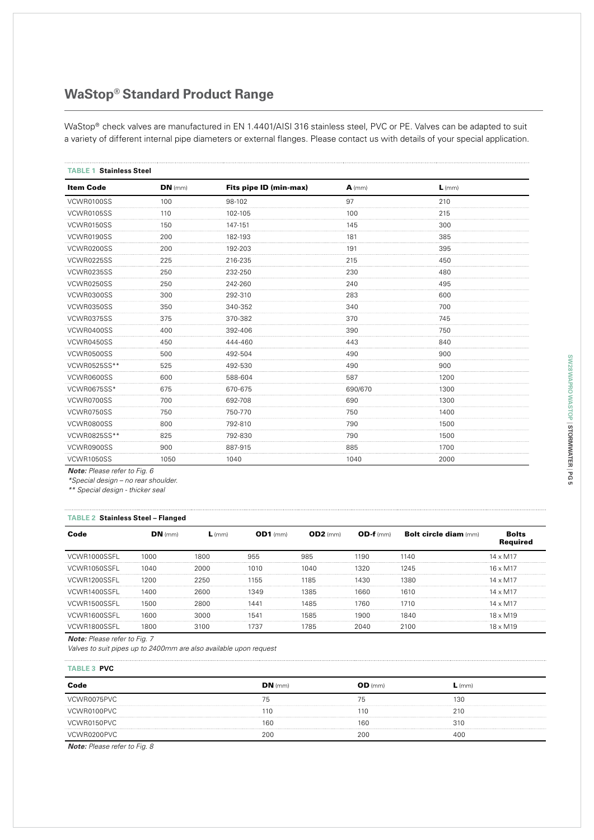# **WaStop® Standard Product Range**

WaStop® check valves are manufactured in EN 1.4401/AISI 316 stainless steel, PVC or PE. Valves can be adapted to suit a variety of different internal pipe diameters or external flanges. Please contact us with details of your special application.

| <b>TABLE 1 Stainless Steel</b> |           |                        |          |          |  |
|--------------------------------|-----------|------------------------|----------|----------|--|
| <b>Item Code</b>               | $DN$ (mm) | Fits pipe ID (min-max) | $A$ (mm) | $L$ (mm) |  |
| VCWR0100SS                     | 100       | 98-102                 | 97       | 210      |  |
| VCWR0105SS                     | 110       | 102-105                | 100      | 215      |  |
| VCWR0150SS                     | 150       | 147-151                | 145      | 300      |  |
| VCWR0190SS                     | 200       | 182-193                | 181      | 385      |  |
| VCWR0200SS                     | 200       | 192-203                | 191      | 395      |  |
| VCWR0225SS                     | 225       | 216-235                | 215      | 450      |  |
| VCWR0235SS                     | 250       | 232-250                | 230      | 480      |  |
| VCWR0250SS                     | 250       | 242-260                | 240      | 495      |  |
| VCWR0300SS                     | 300       | 292-310                | 283      | 600      |  |
| VCWR0350SS                     | 350       | 340-352                | 340      | 700      |  |
| VCWR0375SS                     | 375       | 370-382                | 370      | 745      |  |
| VCWR0400SS                     | 400       | 392-406                | 390      | 750      |  |
| VCWR0450SS                     | 450       | 444-460                | 443      | 840      |  |
| VCWR0500SS                     | 500       | 492-504                | 490      | 900      |  |
| VCWR0525SS**                   | 525       | 492-530                | 490      | 900      |  |
| VCWR0600SS                     | 600       | 588-604                | 587      | 1200     |  |
| <b>VCWR0675SS*</b>             | 675       | 670-675                | 690/670  | 1300     |  |
| VCWR0700SS                     | 700       | 692-708                | 690      | 1300     |  |
| VCWR0750SS                     | 750       | 750-770                | 750      | 1400     |  |
| VCWR0800SS                     | 800       | 792-810                | 790      | 1500     |  |
| VCWR0825SS**                   | 825       | 792-830                | 790      | 1500     |  |
| VCWR0900SS                     | 900       | 887-915                | 885      | 1700     |  |
| <b>VCWR1050SS</b>              | 1050      | 1040                   | 1040     | 2000     |  |

*Note: Please refer to Fig. 6* 

*\*Special design – no rear shoulder.*

*\*\* Special design - thicker seal*

### **Table 2 Stainless Steel – Flanged**

| Code         | $DN$ (mm) | $L$ (mm) | $OD1$ (mm) | $OD2$ (mm) | $OD-f(mm)$ | <b>Bolt circle diam (mm)</b> | <b>Bolts</b><br><b>Required</b> |
|--------------|-----------|----------|------------|------------|------------|------------------------------|---------------------------------|
| VCWR1000SSFL | 1000      | 1800     | 955        | 985        | 1190       | 1140                         | $14 \times M17$                 |
| VCWR1050SSFL | 1040      | 2000     | 1010       | 1040       | 1320       | 1245                         | $16 \times M17$                 |
| VCWR1200SSFL | 1200      | 2250     | 1155       | 1185       | 1430       | 1380                         | $14 \times M17$                 |
| VCWR1400SSFL | 1400      | 2600     | 1349       | 1385       | 1660       | 1610                         | $14 \times M17$                 |
| VCWR1500SSFL | 1500      | 2800     | 1441       | 1485       | 1760       | 1710                         | $14 \times M17$                 |
| VCWR1600SSFL | 1600      | 3000     | 1541       | 1585       | 1900       | 1840                         | $18 \times M19$                 |
| VCWR1800SSFL | 1800      | 3100     | 1737       | 1785       | 2040       | 2100                         | $18 \times M19$                 |

*Note: Please refer to Fig. 7*

*Valves to suit pipes up to 2400mm are also available upon request*

**Table 3 PVC**

 $\cdots$ 

| Code        | $DN$ (mm) | OD (mm) | $L$ (mm) |
|-------------|-----------|---------|----------|
| VCWR0075PVC | 75        | 75      | 130      |
| VCWR0100PVC | 110       | 110     | 210      |
| VCWR0150PVC | 160       | 160     | 310      |
| VCWR0200PVC | 200       | 200     | 400      |

*Note: Please refer to Fig. 8*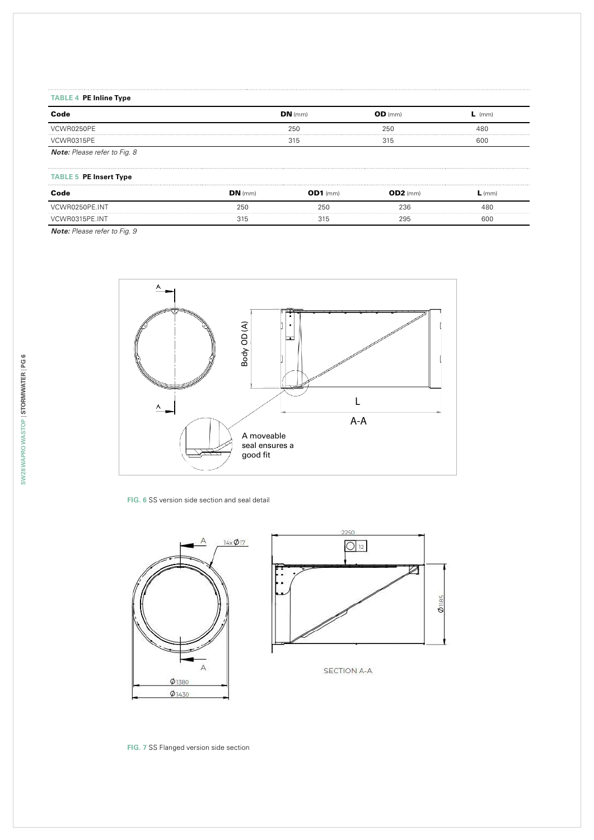### **Table 4 PE Inline Type**

| Code                                | $DN$ (mm) | $OD \, (mm)$ | $\mathsf{L}$ (mm) |
|-------------------------------------|-----------|--------------|-------------------|
| VCWR0250PE                          | 250       | 250          | 480               |
| VCWR0315PE                          | 315       | 315          | 600               |
| <b>Note:</b> Please refer to Fig. 8 |           |              |                   |

### **Table 5 PE Insert Type**

| Code           | $DN$ (mm) | $OD1$ (mm) | $OD2$ (mm) | $\mathsf{L}$ (mm) |
|----------------|-----------|------------|------------|-------------------|
| VCWR0250PE.INT | 250       | 250        | 236        | 480               |
| VCWR0315PE.INT | 315       | 315        | 295        | 600               |

*Note: Please refer to Fig. 9*



### **Fig. 6** SS version side section and seal detail



**Fig. 7** SS Flanged version side section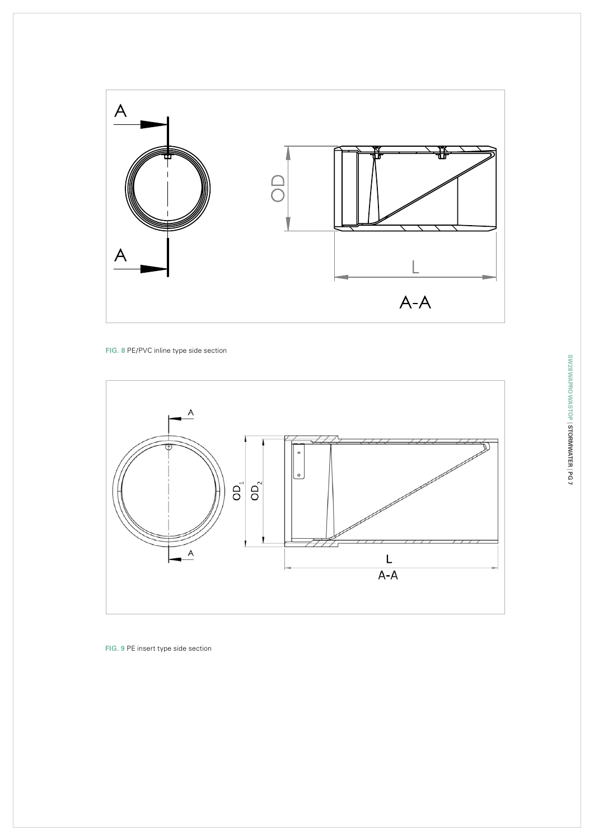

**Fig. 8**  PE/ PVC inline type side section



**Fig. 9**  PE insert type side section